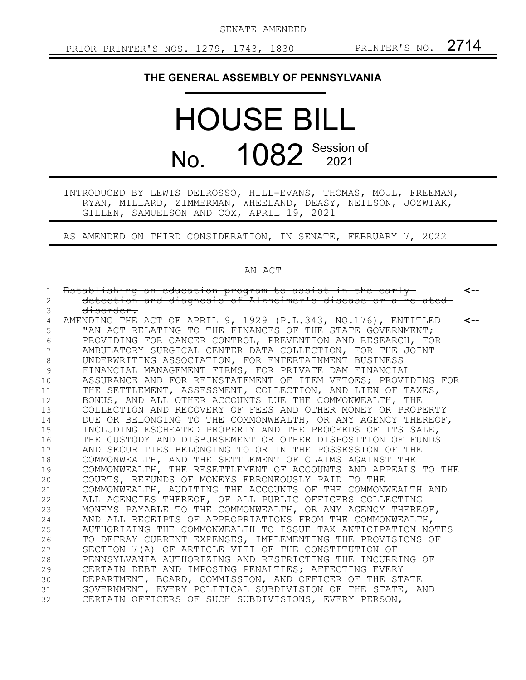SENATE AMENDED

## **THE GENERAL ASSEMBLY OF PENNSYLVANIA**

## HOUSE BILL No. 1082 Session of

INTRODUCED BY LEWIS DELROSSO, HILL-EVANS, THOMAS, MOUL, FREEMAN, RYAN, MILLARD, ZIMMERMAN, WHEELAND, DEASY, NEILSON, JOZWIAK, GILLEN, SAMUELSON AND COX, APRIL 19, 2021

AS AMENDED ON THIRD CONSIDERATION, IN SENATE, FEBRUARY 7, 2022

## AN ACT

| 1           | Establishing an education program to assist in the early      | <--          |
|-------------|---------------------------------------------------------------|--------------|
| 2           | detection and diagnosis of Alzheimer's disease or a related   |              |
| 3           | disorder.                                                     |              |
| 4           | AMENDING THE ACT OF APRIL 9, 1929 (P.L.343, NO.176), ENTITLED | $\leftarrow$ |
| 5           | "AN ACT RELATING TO THE FINANCES OF THE STATE GOVERNMENT;     |              |
| 6           | PROVIDING FOR CANCER CONTROL, PREVENTION AND RESEARCH, FOR    |              |
| 7           | AMBULATORY SURGICAL CENTER DATA COLLECTION, FOR THE JOINT     |              |
| $\,8\,$     | UNDERWRITING ASSOCIATION, FOR ENTERTAINMENT BUSINESS          |              |
| $\mathsf 9$ | FINANCIAL MANAGEMENT FIRMS, FOR PRIVATE DAM FINANCIAL         |              |
| 10          | ASSURANCE AND FOR REINSTATEMENT OF ITEM VETOES; PROVIDING FOR |              |
| 11          | THE SETTLEMENT, ASSESSMENT, COLLECTION, AND LIEN OF TAXES,    |              |
| 12          | BONUS, AND ALL OTHER ACCOUNTS DUE THE COMMONWEALTH, THE       |              |
| 13          | COLLECTION AND RECOVERY OF FEES AND OTHER MONEY OR PROPERTY   |              |
| 14          | DUE OR BELONGING TO THE COMMONWEALTH, OR ANY AGENCY THEREOF,  |              |
| 15          | INCLUDING ESCHEATED PROPERTY AND THE PROCEEDS OF ITS SALE,    |              |
| 16          | THE CUSTODY AND DISBURSEMENT OR OTHER DISPOSITION OF FUNDS    |              |
| 17          | AND SECURITIES BELONGING TO OR IN THE POSSESSION OF THE       |              |
| 18          | COMMONWEALTH, AND THE SETTLEMENT OF CLAIMS AGAINST THE        |              |
| 19          | COMMONWEALTH, THE RESETTLEMENT OF ACCOUNTS AND APPEALS TO THE |              |
| 20          | COURTS, REFUNDS OF MONEYS ERRONEOUSLY PAID TO THE             |              |
| 21          | COMMONWEALTH, AUDITING THE ACCOUNTS OF THE COMMONWEALTH AND   |              |
| 22          | ALL AGENCIES THEREOF, OF ALL PUBLIC OFFICERS COLLECTING       |              |
| 23          | MONEYS PAYABLE TO THE COMMONWEALTH, OR ANY AGENCY THEREOF,    |              |
| 24          | AND ALL RECEIPTS OF APPROPRIATIONS FROM THE COMMONWEALTH,     |              |
| 25          | AUTHORIZING THE COMMONWEALTH TO ISSUE TAX ANTICIPATION NOTES  |              |
| 26          | TO DEFRAY CURRENT EXPENSES, IMPLEMENTING THE PROVISIONS OF    |              |
| 27          | SECTION 7(A) OF ARTICLE VIII OF THE CONSTITUTION OF           |              |
| 28          | PENNSYLVANIA AUTHORIZING AND RESTRICTING THE INCURRING OF     |              |
| 29          | CERTAIN DEBT AND IMPOSING PENALTIES; AFFECTING EVERY          |              |
| 30          | DEPARTMENT, BOARD, COMMISSION, AND OFFICER OF THE STATE       |              |
| 31          | GOVERNMENT, EVERY POLITICAL SUBDIVISION OF THE STATE, AND     |              |
| 32          | CERTAIN OFFICERS OF SUCH SUBDIVISIONS, EVERY PERSON,          |              |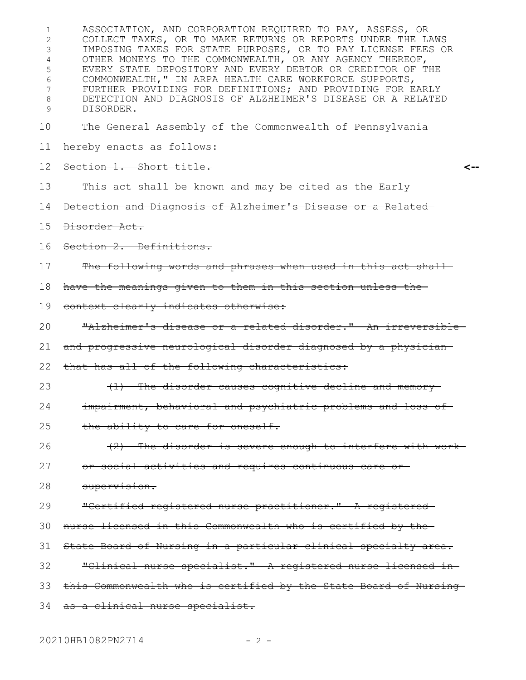ASSOCIATION, AND CORPORATION REQUIRED TO PAY, ASSESS, OR COLLECT TAXES, OR TO MAKE RETURNS OR REPORTS UNDER THE LAWS IMPOSING TAXES FOR STATE PURPOSES, OR TO PAY LICENSE FEES OR OTHER MONEYS TO THE COMMONWEALTH, OR ANY AGENCY THEREOF, EVERY STATE DEPOSITORY AND EVERY DEBTOR OR CREDITOR OF THE COMMONWEALTH," IN ARPA HEALTH CARE WORKFORCE SUPPORTS, FURTHER PROVIDING FOR DEFINITIONS; AND PROVIDING FOR EARLY DETECTION AND DIAGNOSIS OF ALZHEIMER'S DISEASE OR A RELATED DISORDER. The General Assembly of the Commonwealth of Pennsylvania hereby enacts as follows: Section 1. Short title. This act shall be known and may be cited as the Early-Detection and Diagnosis of Alzheimer's Disease or a Related Disorder Act. Section 2. Definitions. The following words and phrases when used in this act shall have the meanings given to them in this section unless the context clearly indicates otherwise: "Alzheimer's disease or a related disorder." An irreversible and progressive neurological disorder diagnosed by a physician that has all of the following characteristics: (1) The disorder causes cognitive decline and memory impairment, behavioral and psychiatric problems and loss of the ability to care for oneself. (2) The disorder is severe enough to interfere with work or social activities and requires continuous care or supervision. "Certified registered nurse practitioner." A registered nurse licensed in this Commonwealth who is certified by the State Board of Nursing in a particular clinical specialty area. "Clinical nurse specialist." A registered nurse licensed in this Commonwealth who is certified by the State Board of Nursing 34 as a clinical nurse specialist. **<--** 1 2 3 4 5 6 7 8 9 10 11 12 13 14 15 16 17 18 19 20 21 22 23 24 25 26 27 28 29 30 31 32 33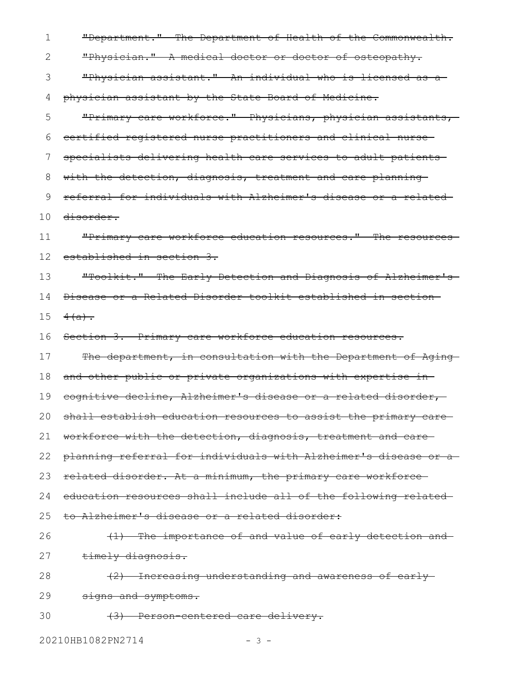| 1  | "Department." The Department of Health of the Commonwealth.     |
|----|-----------------------------------------------------------------|
| 2  | "Physician." A medical doctor or doctor of osteopathy.          |
| 3  | "Physician assistant." An individual who is licensed as a       |
| 4  | physician assistant by the State Board of Medicine.             |
| 5  | "Primary care workforce." Physicians, physician assistants,     |
| 6  | certified registered nurse practitioners and clinical nurse-    |
| 7  | specialists delivering health care services to adult patients   |
| 8  | with the detection, diagnosis, treatment and care planning-     |
| 9  | referral for individuals with Alzheimer's disease or a related- |
| 10 | <del>disorder.</del>                                            |
| 11 | "Primary care workforce education resources." The resources     |
| 12 | established in section 3.                                       |
| 13 | "Toolkit." The Early Detection and Diagnosis of Alzheimer's-    |
| 14 | Disease or a Related Disorder toolkit established in section    |
| 15 | $4(a)$ .                                                        |
| 16 | Section 3. Primary care workforce education resources.          |
| 17 | The department, in consultation with the Department of Aging    |
| 18 | and other public or private organizations with expertise in-    |
| 19 | cognitive decline, Alzheimer's disease or a related disorder,   |
| 20 | shall establish education resources to assist the primary care  |
| 21 | workforce with the detection, diagnosis, treatment and care-    |
| 22 | planning referral for individuals with Alzheimer's disease or a |
| 23 | related disorder. At a minimum, the primary care workforce-     |
| 24 | education resources shall include all of the following related- |
| 25 | to Alzheimer's disease or a related disorder:                   |
| 26 | (1) The importance of and value of early detection and-         |
| 27 | timely diagnosis.                                               |
| 28 | (2) Increasing understanding and awareness of early             |
| 29 | signs and symptoms.                                             |
| 30 | (3) Person-centered care delivery.                              |
|    |                                                                 |

20210HB1082PN2714 - 3 -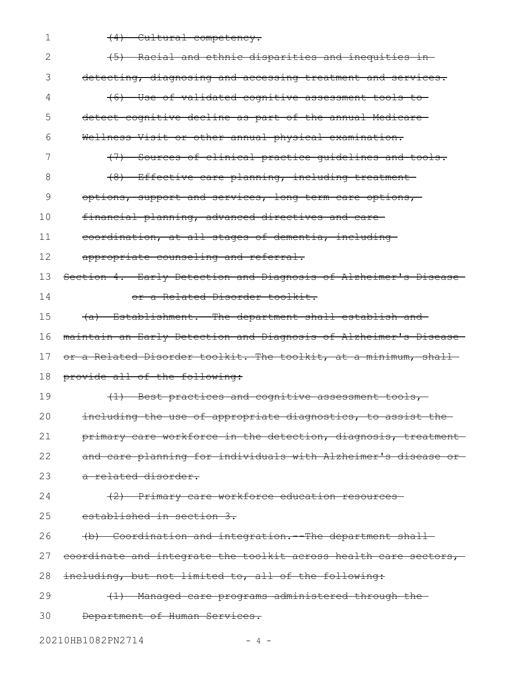| $\mathbf 1$ | (4) Cultural competency.                                                  |
|-------------|---------------------------------------------------------------------------|
| 2           | (5) Racial and ethnic disparities and inequities in-                      |
| 3           | detecting, diagnosing and accessing treatment and services.               |
| 4           | (6) Use of validated cognitive assessment tools to-                       |
| 5           | detect cognitive decline as part of the annual Medicare-                  |
| 6           | Wellness Visit or other annual physical examination.                      |
| 7           | $\leftrightarrow$<br>- Sources of clinical practice guidelines and tools. |
| 8           | (8) Effective care planning, including treatment                          |
| 9           | options, support and services, long term care options,                    |
| 10          | financial planning, advanced directives and care-                         |
| 11          | coordination, at all stages of dementia, including-                       |
| 12          | appropriate counseling and referral.                                      |
| 13          | Section 4. Early Detection and Diagnosis of Alzheimer's Disease           |
| 14          | or a Related Disorder toolkit.                                            |
| 15          | (a) Establishment. The department shall establish and                     |
| 16          | maintain an Early Detection and Diagnosis of Alzheimer's Disease          |
| 17          | or a Related Disorder toolkit. The toolkit, at a minimum, shall-          |
| 18          | provide all of the following:                                             |
| 19          | (1) Best practices and cognitive assessment tools,                        |
| 20          | including the use of appropriate diagnostics, to assist the-              |
| 21          | primary care workforce in the detection, diagnosis, treatment-            |
| 22          | and care planning for individuals with Alzheimer's disease or-            |
| 23          | a related disorder.                                                       |
| 24          | (2) Primary care workforce education resources-                           |
| 25          | established in section 3.                                                 |
| 26          | (b) Coordination and integration. The department shall-                   |
| 27          | eoordinate and integrate the toolkit across health care sectors,          |
| 28          | including, but not limited to, all of the following:                      |
| 29          | (1) Managed care programs administered through the                        |
| 30          | Department of Human Services.                                             |
|             |                                                                           |

20210HB1082PN2714 - 4 -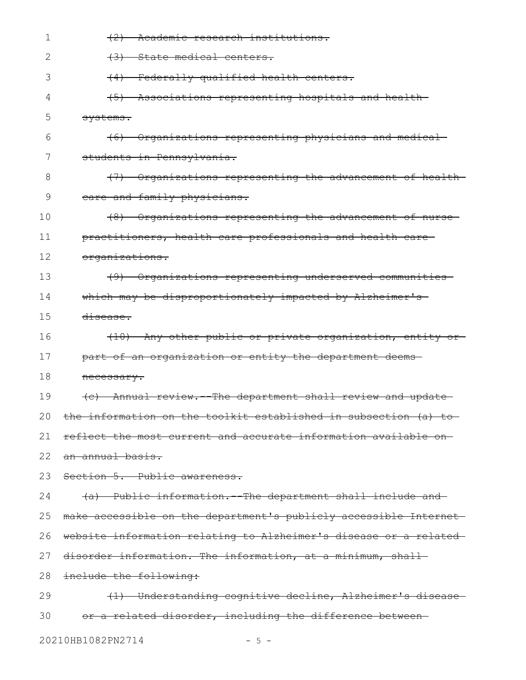| 1            | (2) Academic research institutions.                                        |
|--------------|----------------------------------------------------------------------------|
| 2            | $+3+$<br>State medical centers.                                            |
| 3            | Federally qualified health centers.<br>(4)                                 |
| 4            | (5) Associations representing hospitals and health-                        |
| 5            | systems.                                                                   |
| 6            | (6) Organizations representing physicians and medical                      |
| 7            | students in Pennsylvania.                                                  |
| 8            | (7) Organizations representing the advancement of health-                  |
| 9            | eare and family physicians.                                                |
| 10           | (8) Organizations representing the advancement of nurse-                   |
| 11           | practitioners, health care professionals and health care-                  |
| 12           | organizations.                                                             |
| 13           | (9) Organizations representing underserved communities                     |
| 14           | which may be disproportionately impacted by Alzheimer's                    |
| 15           | disease.                                                                   |
| 16           | (10) Any other public or private organization, entity or-                  |
| 17           | part of an organization or entity the department deems-                    |
| 18           | necessary.                                                                 |
| 19           | Annual review. The department shall review and update<br>$\left( e\right)$ |
| $20^{\circ}$ | the information on the toolkit established in subsection (a) to            |
| 21           | reflect the most current and accurate information available on-            |
| 22           | an annual basis.                                                           |
| 23           | Section 5. Public awareness.                                               |
| 24           | (a) Public information. The department shall include and                   |
| 25           | make accessible on the department's publicly accessible Internet-          |
| 26           | website information relating to Alzheimer's disease or a related           |
| 27           | disorder information. The information, at a minimum, shall-                |
| 28           | include the following:                                                     |
| 29           | (1) Understanding cognitive decline, Alzheimer's disease-                  |
| 30           | or a related disorder, including the difference between-                   |

20210HB1082PN2714 - 5 -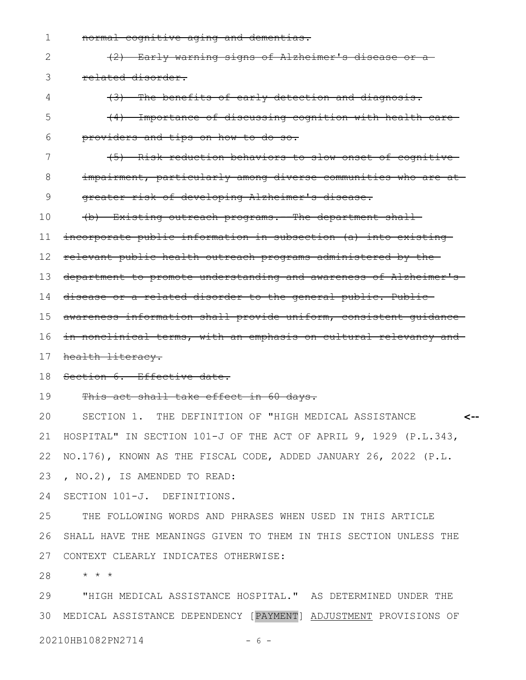normal cognitive aging and dementias. 1

|  | (2) Early warning signs of Alzheimer's disease or a |
|--|-----------------------------------------------------|

4

(3) The benefits of early detection and diagnosis.

- (4) Importance of discussing cognition with health care providers and tips on how to do so. 5 6
- 7
	- (5) Risk reduction behaviors to slow onset of cognitive
- impairment, particularly among diverse communities who are at-8

greater risk of developing Alzheimer's disease. 9

(b) Existing outreach programs.--The department shall 10

incorporate public information in subsection (a) into existing 11

relevant public health outreach programs administered by the 12

department to promote understanding and awareness of Alzheimer's 13

- 14 disease or a related disorder to the general public. Public
- awareness information shall provide uniform, consistent guidance 15
- in nonclinical terms, with an emphasis on cultural relevancy and 16
- health literacy. 17
- Section 6. Effective date. 18
- This act shall take effect in 60 days. 19

SECTION 1. THE DEFINITION OF "HIGH MEDICAL ASSISTANCE HOSPITAL" IN SECTION 101-J OF THE ACT OF APRIL 9, 1929 (P.L.343, NO.176), KNOWN AS THE FISCAL CODE, ADDED JANUARY 26, 2022 (P.L. , NO.2), IS AMENDED TO READ: **<--** 20 21 22 23

SECTION 101-J. DEFINITIONS. 24

THE FOLLOWING WORDS AND PHRASES WHEN USED IN THIS ARTICLE SHALL HAVE THE MEANINGS GIVEN TO THEM IN THIS SECTION UNLESS THE CONTEXT CLEARLY INDICATES OTHERWISE: 25 26 27

\* \* \* 28

"HIGH MEDICAL ASSISTANCE HOSPITAL." AS DETERMINED UNDER THE 30 MEDICAL ASSISTANCE DEPENDENCY [PAYMENT] ADJUSTMENT PROVISIONS OF 20210HB1082PN2714 - 6 -29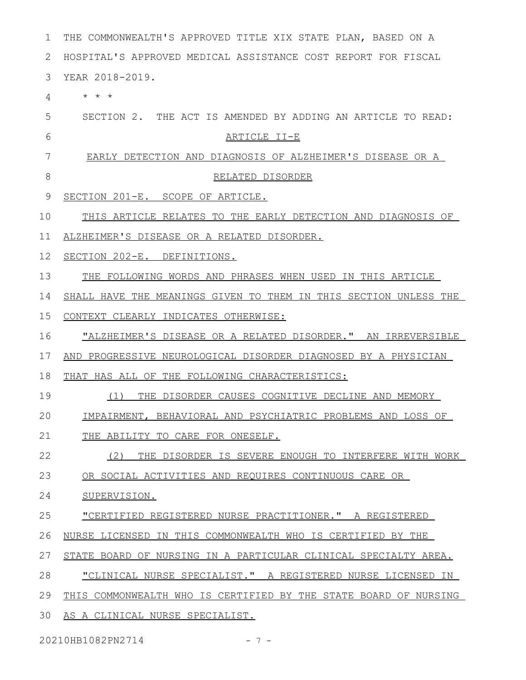| 1  | THE COMMONWEALTH'S APPROVED TITLE XIX STATE PLAN, BASED ON A     |
|----|------------------------------------------------------------------|
| 2  | HOSPITAL'S APPROVED MEDICAL ASSISTANCE COST REPORT FOR FISCAL    |
| 3  | YEAR 2018-2019.                                                  |
| 4  | $\star$ $\star$ $\star$                                          |
| 5  | SECTION 2. THE ACT IS AMENDED BY ADDING AN ARTICLE TO READ:      |
| 6  | <u>ARTICLE II-E</u>                                              |
| 7  | EARLY DETECTION AND DIAGNOSIS OF ALZHEIMER'S DISEASE OR A        |
| 8  | RELATED DISORDER                                                 |
| 9  | SECTION 201-E. SCOPE OF ARTICLE.                                 |
| 10 | THIS ARTICLE RELATES TO THE EARLY DETECTION AND DIAGNOSIS OF     |
| 11 | ALZHEIMER'S DISEASE OR A RELATED DISORDER.                       |
| 12 | SECTION 202-E. DEFINITIONS.                                      |
| 13 | THE FOLLOWING WORDS AND PHRASES WHEN USED IN THIS ARTICLE        |
| 14 | SHALL HAVE THE MEANINGS GIVEN TO THEM IN THIS SECTION UNLESS THE |
| 15 | CONTEXT CLEARLY INDICATES OTHERWISE:                             |
| 16 | "ALZHEIMER'S DISEASE OR A RELATED DISORDER." AN IRREVERSIBLE     |
| 17 | AND PROGRESSIVE NEUROLOGICAL DISORDER DIAGNOSED BY A PHYSICIAN   |
| 18 | THAT HAS ALL OF THE FOLLOWING CHARACTERISTICS:                   |
| 19 | THE DISORDER CAUSES COGNITIVE DECLINE AND MEMORY<br>(1)          |
| 20 | IMPAIRMENT, BEHAVIORAL AND PSYCHIATRIC PROBLEMS AND LOSS OF      |
| 21 | THE ABILITY TO CARE FOR ONESELF.                                 |
| 22 | (2)<br>THE DISORDER IS SEVERE ENOUGH TO INTERFERE WITH WORK      |
| 23 | OR SOCIAL ACTIVITIES AND REOUIRES CONTINUOUS CARE OR             |
| 24 | SUPERVISION.                                                     |
| 25 | "CERTIFIED REGISTERED NURSE PRACTITIONER." A REGISTERED          |
| 26 | NURSE LICENSED IN THIS COMMONWEALTH WHO IS CERTIFIED BY THE      |
| 27 | STATE BOARD OF NURSING IN A PARTICULAR CLINICAL SPECIALTY AREA.  |
| 28 | "CLINICAL NURSE SPECIALIST." A REGISTERED NURSE LICENSED IN      |
| 29 | THIS COMMONWEALTH WHO IS CERTIFIED BY THE STATE BOARD OF NURSING |
| 30 | AS A CLINICAL NURSE SPECIALIST.                                  |

20210HB1082PN2714 - 7 -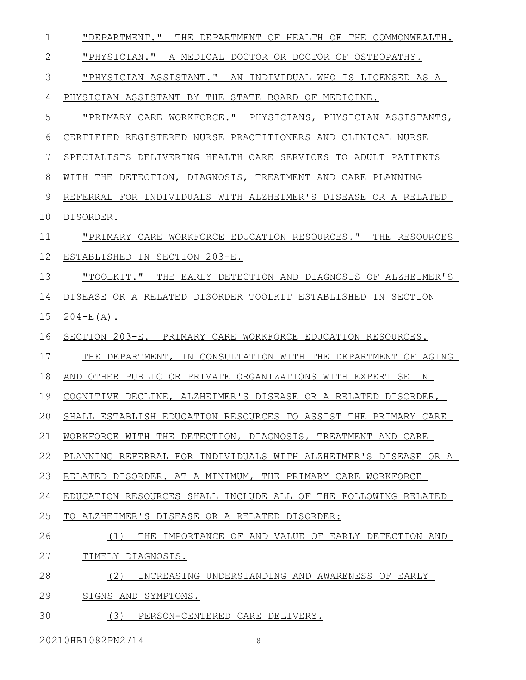| $\mathbf 1$  | "DEPARTMENT." THE DEPARTMENT OF HEALTH OF THE COMMONWEALTH.     |
|--------------|-----------------------------------------------------------------|
| $\mathbf{2}$ | "PHYSICIAN." A MEDICAL DOCTOR OR DOCTOR OF OSTEOPATHY.          |
| 3            | "PHYSICIAN ASSISTANT." AN INDIVIDUAL WHO IS LICENSED AS A       |
| 4            | PHYSICIAN ASSISTANT BY THE STATE BOARD OF MEDICINE.             |
| 5            | "PRIMARY CARE WORKFORCE." PHYSICIANS, PHYSICIAN ASSISTANTS,     |
| 6            | CERTIFIED REGISTERED NURSE PRACTITIONERS AND CLINICAL NURSE     |
| 7            | SPECIALISTS DELIVERING HEALTH CARE SERVICES TO ADULT PATIENTS   |
| 8            | WITH THE DETECTION, DIAGNOSIS, TREATMENT AND CARE PLANNING      |
| 9            | REFERRAL FOR INDIVIDUALS WITH ALZHEIMER'S DISEASE OR A RELATED  |
| 10           | DISORDER.                                                       |
| 11           | "PRIMARY CARE WORKFORCE EDUCATION RESOURCES." THE RESOURCES     |
| 12           | ESTABLISHED IN SECTION 203-E.                                   |
| 13           | "TOOLKIT." THE EARLY DETECTION AND DIAGNOSIS OF ALZHEIMER'S     |
| 14           | DISEASE OR A RELATED DISORDER TOOLKIT ESTABLISHED IN SECTION    |
| 15           | $204 - E(A)$ .                                                  |
| 16           | SECTION 203-E. PRIMARY CARE WORKFORCE EDUCATION RESOURCES.      |
| 17           | THE DEPARTMENT, IN CONSULTATION WITH THE DEPARTMENT OF AGING    |
| 18           | AND OTHER PUBLIC OR PRIVATE ORGANIZATIONS WITH EXPERTISE IN     |
| 19           | COGNITIVE DECLINE, ALZHEIMER'S DISEASE OR A RELATED DISORDER,   |
|              |                                                                 |
| 20           | SHALL ESTABLISH EDUCATION RESOURCES TO ASSIST THE PRIMARY CARE  |
| 21           | WORKFORCE WITH THE DETECTION, DIAGNOSIS, TREATMENT AND CARE     |
| 22           | PLANNING REFERRAL FOR INDIVIDUALS WITH ALZHEIMER'S DISEASE OR A |
| 23           | RELATED DISORDER. AT A MINIMUM, THE PRIMARY CARE WORKFORCE      |
| 24           | EDUCATION RESOURCES SHALL INCLUDE ALL OF THE FOLLOWING RELATED  |
| 25           | TO ALZHEIMER'S DISEASE OR A RELATED DISORDER:                   |
| 26           | (1)<br>THE IMPORTANCE OF AND VALUE OF EARLY DETECTION AND       |
| 27           | TIMELY DIAGNOSIS.                                               |
| 28           | (2)<br>INCREASING UNDERSTANDING AND AWARENESS OF EARLY          |
| 29           | SIGNS AND SYMPTOMS.                                             |

20210HB1082PN2714 - 8 -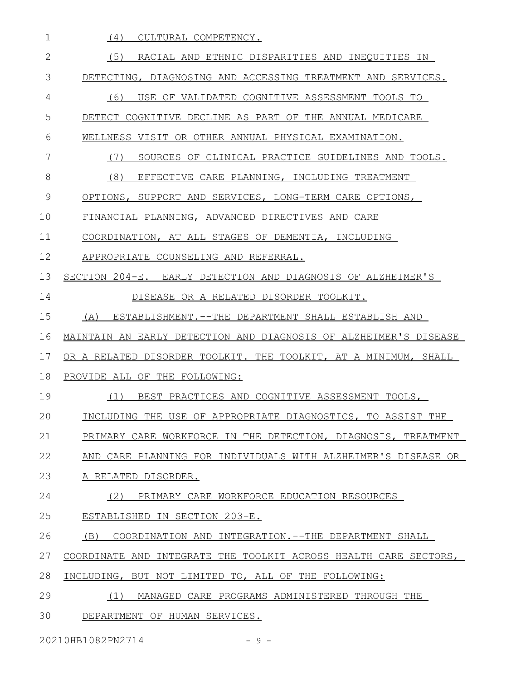| (4)<br>CULTURAL COMPETENCY.                                      |
|------------------------------------------------------------------|
| (5)<br>RACIAL AND ETHNIC DISPARITIES AND INEQUITIES IN           |
| DETECTING, DIAGNOSING AND ACCESSING TREATMENT AND SERVICES.      |
| (6)<br>USE OF VALIDATED COGNITIVE ASSESSMENT TOOLS TO            |
| DETECT COGNITIVE DECLINE AS PART OF THE ANNUAL MEDICARE          |
| WELLNESS VISIT OR OTHER ANNUAL PHYSICAL EXAMINATION.             |
| SOURCES OF CLINICAL PRACTICE GUIDELINES AND TOOLS.<br>(7)        |
| (8)<br>EFFECTIVE CARE PLANNING, INCLUDING TREATMENT              |
| OPTIONS, SUPPORT AND SERVICES, LONG-TERM CARE OPTIONS,           |
| FINANCIAL PLANNING, ADVANCED DIRECTIVES AND CARE                 |
| COORDINATION, AT ALL STAGES OF DEMENTIA, INCLUDING               |
| APPROPRIATE COUNSELING AND REFERRAL.                             |
| SECTION 204-E. EARLY DETECTION AND DIAGNOSIS OF ALZHEIMER'S      |
| DISEASE OR A RELATED DISORDER TOOLKIT.                           |
| ESTABLISHMENT.--THE DEPARTMENT SHALL ESTABLISH AND<br>(A)        |
| MAINTAIN AN EARLY DETECTION AND DIAGNOSIS OF ALZHEIMER'S DISEASE |
| OR A RELATED DISORDER TOOLKIT. THE TOOLKIT, AT A MINIMUM, SHALL  |
| PROVIDE ALL OF THE FOLLOWING:                                    |
| BEST PRACTICES AND COGNITIVE ASSESSMENT TOOLS,<br>(1)            |
| INCLUDING THE USE OF APPROPRIATE DIAGNOSTICS,<br>TO ASSIST THE   |
| PRIMARY CARE WORKFORCE IN THE DETECTION, DIAGNOSIS, TREATMENT    |
| AND CARE PLANNING FOR INDIVIDUALS WITH ALZHEIMER'S DISEASE OR    |
| A RELATED DISORDER.                                              |
| (2)<br>PRIMARY CARE WORKFORCE EDUCATION RESOURCES                |
| ESTABLISHED IN SECTION 203-E.                                    |
| (B)<br>COORDINATION AND INTEGRATION.--THE DEPARTMENT SHALL       |
| COORDINATE AND INTEGRATE THE TOOLKIT ACROSS HEALTH CARE SECTORS, |
| INCLUDING, BUT NOT LIMITED TO, ALL OF THE FOLLOWING:             |
| (1)<br>MANAGED CARE PROGRAMS ADMINISTERED THROUGH THE            |
| DEPARTMENT OF HUMAN SERVICES.                                    |
|                                                                  |

20210HB1082PN2714 - 9 -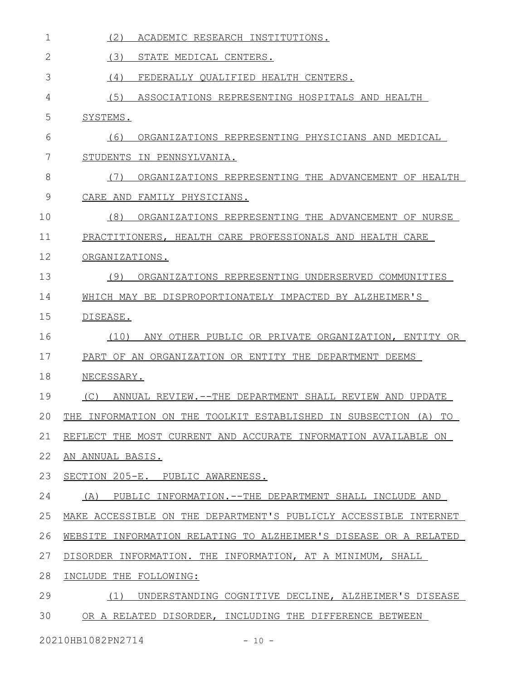| $\mathbf 1$   | (2)<br>ACADEMIC RESEARCH INSTITUTIONS.                             |
|---------------|--------------------------------------------------------------------|
| $\mathbf{2}$  | (3)<br>STATE MEDICAL CENTERS.                                      |
| 3             | (4)<br>FEDERALLY QUALIFIED HEALTH CENTERS.                         |
| 4             | (5)<br>ASSOCIATIONS REPRESENTING HOSPITALS AND HEALTH              |
| 5             | SYSTEMS.                                                           |
| 6             | ORGANIZATIONS REPRESENTING PHYSICIANS AND MEDICAL<br>(6)           |
| 7             | STUDENTS IN PENNSYLVANIA.                                          |
| 8             | ORGANIZATIONS REPRESENTING THE ADVANCEMENT OF HEALTH<br>(7)        |
| $\mathcal{G}$ | CARE AND FAMILY PHYSICIANS.                                        |
| 10            | ORGANIZATIONS REPRESENTING THE ADVANCEMENT OF NURSE<br>(8)         |
| 11            | PRACTITIONERS, HEALTH CARE PROFESSIONALS AND HEALTH CARE           |
| 12            | ORGANIZATIONS.                                                     |
| 13            | (9)<br>ORGANIZATIONS REPRESENTING UNDERSERVED COMMUNITIES          |
| 14            | WHICH MAY BE DISPROPORTIONATELY IMPACTED BY ALZHEIMER'S            |
| 15            | DISEASE.                                                           |
| 16            | ANY OTHER PUBLIC OR PRIVATE ORGANIZATION, ENTITY OR<br>(10)        |
| 17            | PART OF AN ORGANIZATION OR ENTITY THE DEPARTMENT DEEMS             |
| 18            | NECESSARY.                                                         |
| 19            | ANNUAL REVIEW.--THE DEPARTMENT SHALL REVIEW AND UPDATE<br>(C)      |
| 20            | THE INFORMATION ON THE TOOLKIT ESTABLISHED IN SUBSECTION (A)<br>TO |
| 21            | REFLECT THE MOST CURRENT AND ACCURATE INFORMATION AVAILABLE ON     |
| 22            | AN ANNUAL BASIS.                                                   |
| 23            | SECTION 205-E. PUBLIC AWARENESS.                                   |
| 24            | (A)<br>PUBLIC INFORMATION.--THE DEPARTMENT SHALL INCLUDE AND       |
| 25            | MAKE ACCESSIBLE ON THE DEPARTMENT'S PUBLICLY ACCESSIBLE INTERNET   |
| 26            | WEBSITE INFORMATION RELATING TO ALZHEIMER'S DISEASE OR A RELATED   |
| 27            | DISORDER INFORMATION. THE INFORMATION, AT A MINIMUM, SHALL         |
| 28            | INCLUDE THE FOLLOWING:                                             |
| 29            | (1)<br>UNDERSTANDING COGNITIVE DECLINE, ALZHEIMER'S DISEASE        |
| 30            | OR A RELATED DISORDER, INCLUDING THE DIFFERENCE BETWEEN            |

20210HB1082PN2714 - 10 -